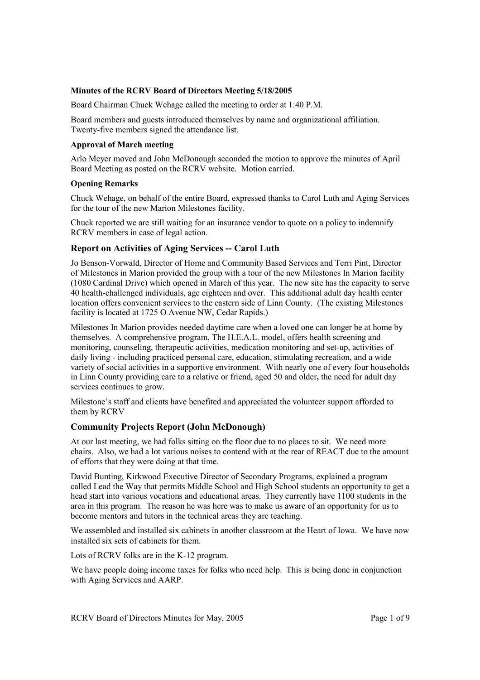#### **Minutes of the RCRV Board of Directors Meeting 5/18/2005**

Board Chairman Chuck Wehage called the meeting to order at 1:40 P.M.

Board members and guests introduced themselves by name and organizational affiliation. Twenty-five members signed the attendance list.

#### **Approval of March meeting**

Arlo Meyer moved and John McDonough seconded the motion to approve the minutes of April Board Meeting as posted on the RCRV website. Motion carried.

#### **Opening Remarks**

Chuck Wehage, on behalf of the entire Board, expressed thanks to Carol Luth and Aging Services for the tour of the new Marion Milestones facility.

Chuck reported we are still waiting for an insurance vendor to quote on a policy to indemnify RCRV members in case of legal action.

### **Report on Activities of Aging Services -- Carol Luth**

Jo Benson-Vorwald, Director of Home and Community Based Services and Terri Pint, Director of Milestones in Marion provided the group with a tour of the new Milestones In Marion facility (1080 Cardinal Drive) which opened in March of this year. The new site has the capacity to serve 40 health-challenged individuals, age eighteen and over. This additional adult day health center location offers convenient services to the eastern side of Linn County. (The existing Milestones facility is located at 1725 O Avenue NW, Cedar Rapids.)

Milestones In Marion provides needed daytime care when a loved one can longer be at home by themselves. A comprehensive program, The H.E.A.L. model, offers health screening and monitoring, counseling, therapeutic activities, medication monitoring and set-up, activities of daily living - including practiced personal care, education, stimulating recreation, and a wide variety of social activities in a supportive environment. With nearly one of every four households in Linn County providing care to a relative or friend, aged 50 and older**,** the need for adult day services continues to grow.

Milestone's staff and clients have benefited and appreciated the volunteer support afforded to them by RCRV

#### **Community Projects Report (John McDonough)**

At our last meeting, we had folks sitting on the floor due to no places to sit. We need more chairs. Also, we had a lot various noises to contend with at the rear of REACT due to the amount of efforts that they were doing at that time.

David Bunting, Kirkwood Executive Director of Secondary Programs, explained a program called Lead the Way that permits Middle School and High School students an opportunity to get a head start into various vocations and educational areas. They currently have 1100 students in the area in this program. The reason he was here was to make us aware of an opportunity for us to become mentors and tutors in the technical areas they are teaching.

We assembled and installed six cabinets in another classroom at the Heart of Iowa. We have now installed six sets of cabinets for them.

Lots of RCRV folks are in the K-12 program.

We have people doing income taxes for folks who need help. This is being done in conjunction with Aging Services and AARP.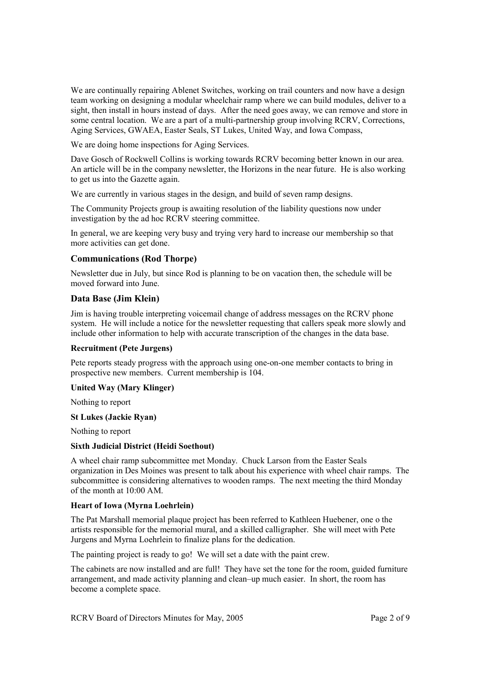We are continually repairing Ablenet Switches, working on trail counters and now have a design team working on designing a modular wheelchair ramp where we can build modules, deliver to a sight, then install in hours instead of days. After the need goes away, we can remove and store in some central location. We are a part of a multi-partnership group involving RCRV, Corrections, Aging Services, GWAEA, Easter Seals, ST Lukes, United Way, and Iowa Compass,

We are doing home inspections for Aging Services.

Dave Gosch of Rockwell Collins is working towards RCRV becoming better known in our area. An article will be in the company newsletter, the Horizons in the near future. He is also working to get us into the Gazette again.

We are currently in various stages in the design, and build of seven ramp designs.

The Community Projects group is awaiting resolution of the liability questions now under investigation by the ad hoc RCRV steering committee.

In general, we are keeping very busy and trying very hard to increase our membership so that more activities can get done.

#### **Communications (Rod Thorpe)**

Newsletter due in July, but since Rod is planning to be on vacation then, the schedule will be moved forward into June.

### **Data Base (Jim Klein)**

Jim is having trouble interpreting voicemail change of address messages on the RCRV phone system. He will include a notice for the newsletter requesting that callers speak more slowly and include other information to help with accurate transcription of the changes in the data base.

#### **Recruitment (Pete Jurgens)**

Pete reports steady progress with the approach using one-on-one member contacts to bring in prospective new members. Current membership is 104.

#### **United Way (Mary Klinger)**

Nothing to report

#### **St Lukes (Jackie Ryan)**

Nothing to report

#### **Sixth Judicial District (Heidi Soethout)**

A wheel chair ramp subcommittee met Monday. Chuck Larson from the Easter Seals organization in Des Moines was present to talk about his experience with wheel chair ramps. The subcommittee is considering alternatives to wooden ramps. The next meeting the third Monday of the month at 10:00 AM.

#### **Heart of Iowa (Myrna Loehrlein)**

The Pat Marshall memorial plaque project has been referred to Kathleen Huebener, one o the artists responsible for the memorial mural, and a skilled calligrapher. She will meet with Pete Jurgens and Myrna Loehrlein to finalize plans for the dedication.

The painting project is ready to go! We will set a date with the paint crew.

The cabinets are now installed and are full! They have set the tone for the room, guided furniture arrangement, and made activity planning and clean–up much easier. In short, the room has become a complete space.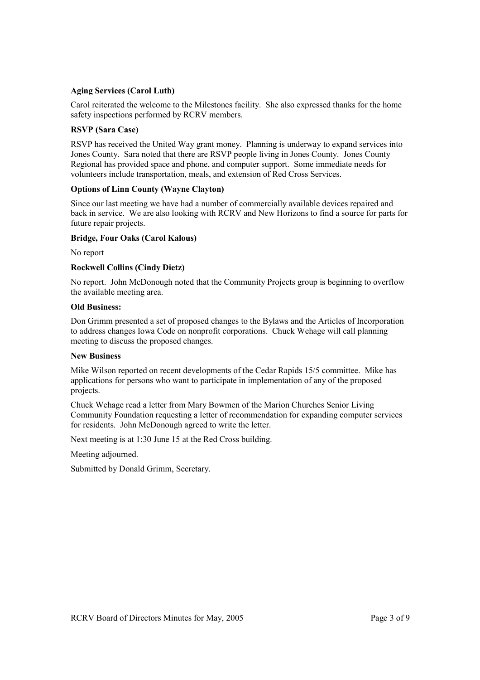#### **Aging Services (Carol Luth)**

Carol reiterated the welcome to the Milestones facility. She also expressed thanks for the home safety inspections performed by RCRV members.

#### **RSVP (Sara Case)**

RSVP has received the United Way grant money. Planning is underway to expand services into Jones County. Sara noted that there are RSVP people living in Jones County. Jones County Regional has provided space and phone, and computer support. Some immediate needs for volunteers include transportation, meals, and extension of Red Cross Services.

#### **Options of Linn County (Wayne Clayton)**

Since our last meeting we have had a number of commercially available devices repaired and back in service. We are also looking with RCRV and New Horizons to find a source for parts for future repair projects.

#### **Bridge, Four Oaks (Carol Kalous)**

No report

### **Rockwell Collins (Cindy Dietz)**

No report. John McDonough noted that the Community Projects group is beginning to overflow the available meeting area.

#### **Old Business:**

Don Grimm presented a set of proposed changes to the Bylaws and the Articles of Incorporation to address changes Iowa Code on nonprofit corporations. Chuck Wehage will call planning meeting to discuss the proposed changes.

#### **New Business**

Mike Wilson reported on recent developments of the Cedar Rapids 15/5 committee. Mike has applications for persons who want to participate in implementation of any of the proposed projects.

Chuck Wehage read a letter from Mary Bowmen of the Marion Churches Senior Living Community Foundation requesting a letter of recommendation for expanding computer services for residents. John McDonough agreed to write the letter.

Next meeting is at 1:30 June 15 at the Red Cross building.

Meeting adjourned.

Submitted by Donald Grimm, Secretary.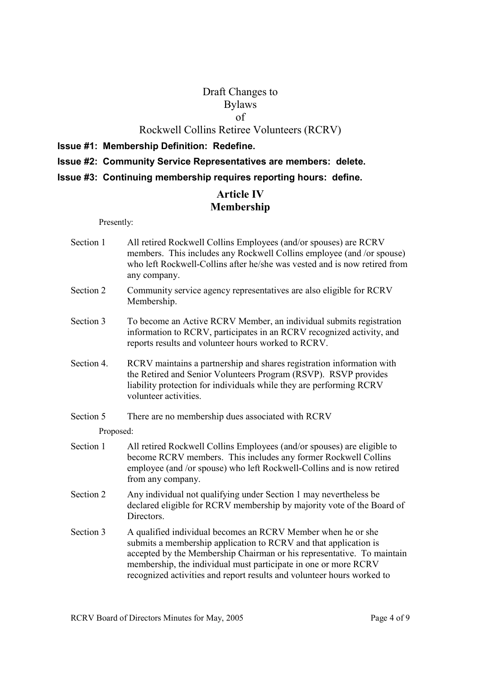# Draft Changes to Bylaws of

## Rockwell Collins Retiree Volunteers (RCRV)

- **Issue #1: Membership Definition: Redefine.**
- **Issue #2: Community Service Representatives are members: delete.**
- **Issue #3: Continuing membership requires reporting hours: define.**

# **Article IV Membership**

#### Presently:

- Section 1 All retired Rockwell Collins Employees (and/or spouses) are RCRV members. This includes any Rockwell Collins employee (and /or spouse) who left Rockwell-Collins after he/she was vested and is now retired from any company.
- Section 2 Community service agency representatives are also eligible for RCRV Membership.
- Section 3 To become an Active RCRV Member, an individual submits registration information to RCRV, participates in an RCRV recognized activity, and reports results and volunteer hours worked to RCRV.
- Section 4. RCRV maintains a partnership and shares registration information with the Retired and Senior Volunteers Program (RSVP). RSVP provides liability protection for individuals while they are performing RCRV volunteer activities.
- Section 5 There are no membership dues associated with RCRV

Proposed:

- Section 1 All retired Rockwell Collins Employees (and/or spouses) are eligible to become RCRV members. This includes any former Rockwell Collins employee (and /or spouse) who left Rockwell-Collins and is now retired from any company.
- Section 2 Any individual not qualifying under Section 1 may nevertheless be declared eligible for RCRV membership by majority vote of the Board of Directors.
- Section 3 A qualified individual becomes an RCRV Member when he or she submits a membership application to RCRV and that application is accepted by the Membership Chairman or his representative. To maintain membership, the individual must participate in one or more RCRV recognized activities and report results and volunteer hours worked to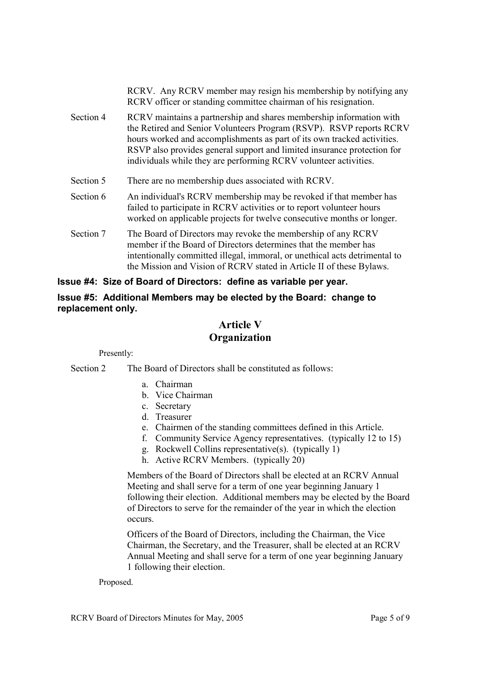|           | RCRV. Any RCRV member may resign his membership by notifying any<br>RCRV officer or standing committee chairman of his resignation.                                                                                                                                                                                                                                  |
|-----------|----------------------------------------------------------------------------------------------------------------------------------------------------------------------------------------------------------------------------------------------------------------------------------------------------------------------------------------------------------------------|
| Section 4 | RCRV maintains a partnership and shares membership information with<br>the Retired and Senior Volunteers Program (RSVP). RSVP reports RCRV<br>hours worked and accomplishments as part of its own tracked activities.<br>RSVP also provides general support and limited insurance protection for<br>individuals while they are performing RCRV volunteer activities. |
| Section 5 | There are no membership dues associated with RCRV.                                                                                                                                                                                                                                                                                                                   |
| Section 6 | An individual's RCRV membership may be revoked if that member has<br>failed to participate in RCRV activities or to report volunteer hours<br>worked on applicable projects for twelve consecutive months or longer.                                                                                                                                                 |
| Section 7 | The Board of Directors may revoke the membership of any RCRV<br>member if the Board of Directors determines that the member has<br>intentionally committed illegal, immoral, or unethical acts detrimental to<br>the Mission and Vision of RCRV stated in Article II of these Bylaws.                                                                                |

## **Issue #4: Size of Board of Directors: define as variable per year.**

### **Issue #5: Additional Members may be elected by the Board: change to replacement only.**

# **Article V Organization**

Presently:

Section 2 The Board of Directors shall be constituted as follows:

- a. Chairman
- b. Vice Chairman
- c. Secretary
- d. Treasurer
- e. Chairmen of the standing committees defined in this Article.
- f. Community Service Agency representatives. (typically 12 to 15)
- g. Rockwell Collins representative(s). (typically 1)
- h. Active RCRV Members. (typically 20)

 Members of the Board of Directors shall be elected at an RCRV Annual Meeting and shall serve for a term of one year beginning January 1 following their election. Additional members may be elected by the Board of Directors to serve for the remainder of the year in which the election occurs.

 Officers of the Board of Directors, including the Chairman, the Vice Chairman, the Secretary, and the Treasurer, shall be elected at an RCRV Annual Meeting and shall serve for a term of one year beginning January 1 following their election.

Proposed.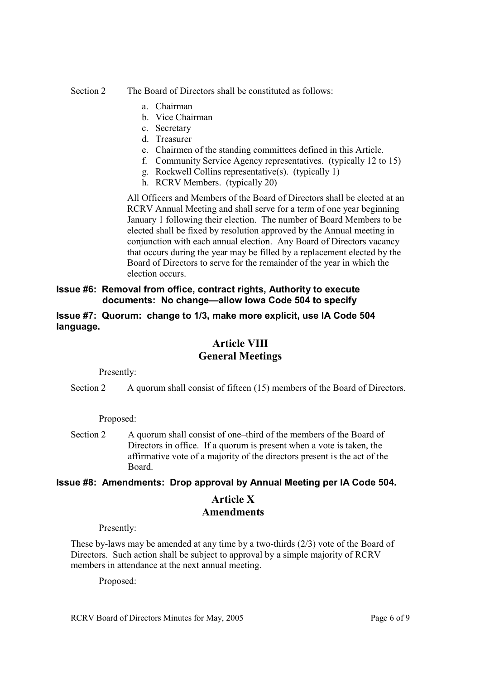### Section 2 The Board of Directors shall be constituted as follows:

- a. Chairman
- b. Vice Chairman
- c. Secretary
- d. Treasurer
- e. Chairmen of the standing committees defined in this Article.
- f. Community Service Agency representatives. (typically 12 to 15)
- g. Rockwell Collins representative(s). (typically 1)
- h. RCRV Members. (typically 20)

 All Officers and Members of the Board of Directors shall be elected at an RCRV Annual Meeting and shall serve for a term of one year beginning January 1 following their election. The number of Board Members to be elected shall be fixed by resolution approved by the Annual meeting in conjunction with each annual election. Any Board of Directors vacancy that occurs during the year may be filled by a replacement elected by the Board of Directors to serve for the remainder of the year in which the election occurs.

## **Issue #6: Removal from office, contract rights, Authority to execute documents: No change—allow Iowa Code 504 to specify**

### **Issue #7: Quorum: change to 1/3, make more explicit, use IA Code 504 language.**

# **Article VIII General Meetings**

Presently:

Section 2 A quorum shall consist of fifteen (15) members of the Board of Directors.

Proposed:

Section 2 A quorum shall consist of one–third of the members of the Board of Directors in office. If a quorum is present when a vote is taken, the affirmative vote of a majority of the directors present is the act of the Board.

### **Issue #8: Amendments: Drop approval by Annual Meeting per IA Code 504.**

# **Article X Amendments**

Presently:

These by-laws may be amended at any time by a two-thirds (2/3) vote of the Board of Directors. Such action shall be subject to approval by a simple majority of RCRV members in attendance at the next annual meeting.

Proposed: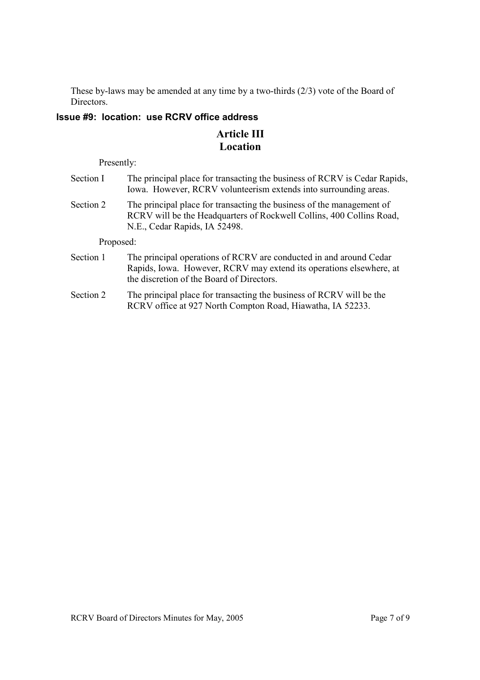These by-laws may be amended at any time by a two-thirds (2/3) vote of the Board of Directors.

## **Issue #9: location: use RCRV office address**

# **Article III Location**

Presently:

| Section I                       | The principal place for transacting the business of RCRV is Cedar Rapids,<br>Iowa. However, RCRV volunteerism extends into surrounding areas.                                          |
|---------------------------------|----------------------------------------------------------------------------------------------------------------------------------------------------------------------------------------|
| Section 2                       | The principal place for transacting the business of the management of<br>RCRV will be the Headquarters of Rockwell Collins, 400 Collins Road,<br>N.E., Cedar Rapids, IA 52498.         |
| Proposed:                       |                                                                                                                                                                                        |
| Section 1                       | The principal operations of RCRV are conducted in and around Cedar<br>Rapids, Iowa. However, RCRV may extend its operations elsewhere, at<br>the discretion of the Board of Directors. |
| $\mathcal{C}$ and $\mathcal{C}$ | The university of whome fourtunes of in a theoretic order of DCDV $_{\rm crit}$ for the                                                                                                |

Section 2 The principal place for transacting the business of RCRV will be the RCRV office at 927 North Compton Road, Hiawatha, IA 52233.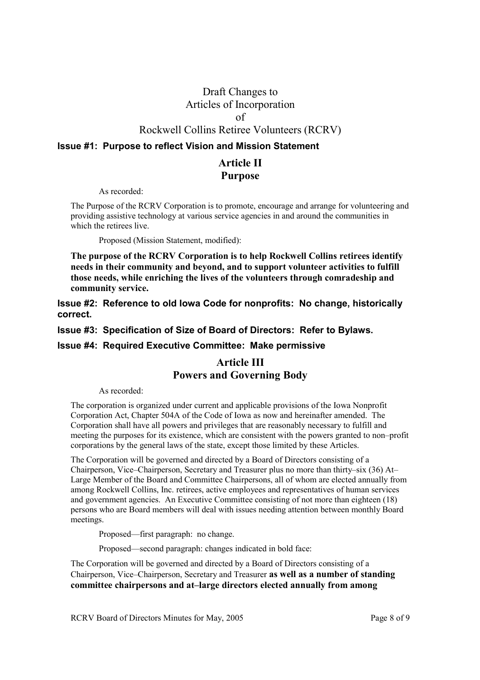# Draft Changes to Articles of Incorporation of Rockwell Collins Retiree Volunteers (RCRV)

### **Issue #1: Purpose to reflect Vision and Mission Statement**

# **Article II Purpose**

As recorded:

The Purpose of the RCRV Corporation is to promote, encourage and arrange for volunteering and providing assistive technology at various service agencies in and around the communities in which the retirees live.

Proposed (Mission Statement, modified):

**The purpose of the RCRV Corporation is to help Rockwell Collins retirees identify needs in their community and beyond, and to support volunteer activities to fulfill those needs, while enriching the lives of the volunteers through comradeship and community service.** 

**Issue #2: Reference to old Iowa Code for nonprofits: No change, historically correct.** 

**Issue #3: Specification of Size of Board of Directors: Refer to Bylaws.** 

### **Issue #4: Required Executive Committee: Make permissive**

# **Article III Powers and Governing Body**

As recorded:

The corporation is organized under current and applicable provisions of the Iowa Nonprofit Corporation Act, Chapter 504A of the Code of Iowa as now and hereinafter amended. The Corporation shall have all powers and privileges that are reasonably necessary to fulfill and meeting the purposes for its existence, which are consistent with the powers granted to non–profit corporations by the general laws of the state, except those limited by these Articles.

The Corporation will be governed and directed by a Board of Directors consisting of a Chairperson, Vice–Chairperson, Secretary and Treasurer plus no more than thirty–six (36) At– Large Member of the Board and Committee Chairpersons, all of whom are elected annually from among Rockwell Collins, Inc. retirees, active employees and representatives of human services and government agencies. An Executive Committee consisting of not more than eighteen (18) persons who are Board members will deal with issues needing attention between monthly Board meetings.

Proposed—first paragraph: no change.

Proposed—second paragraph: changes indicated in bold face:

The Corporation will be governed and directed by a Board of Directors consisting of a Chairperson, Vice–Chairperson, Secretary and Treasurer **as well as a number of standing committee chairpersons and at–large directors elected annually from among**